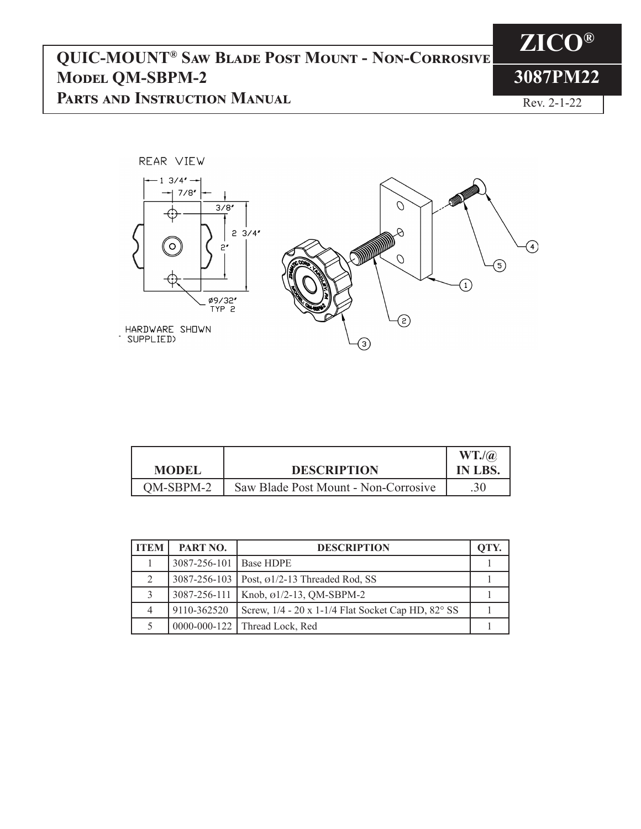## **QUIC-MOUNT® Saw Blade Post Mount - Non-Corrosive Model QM-SBPM-2 Parts and Instruction Manual**



**ZICO®**

**3087PM22**

Rev. 2-1-22

| <b>MODEL</b> | <b>DESCRIPTION</b>                   | $WT.$ / $(a)$<br>IN LBS. |
|--------------|--------------------------------------|--------------------------|
| OM-SBPM-2    | Saw Blade Post Mount - Non-Corrosive |                          |

| ITEM | PART NO.                 | <b>DESCRIPTION</b>                                         | OTY |
|------|--------------------------|------------------------------------------------------------|-----|
|      | 3087-256-101   Base HDPE |                                                            |     |
| 2    |                          | 3087-256-103   Post, ø1/2-13 Threaded Rod, SS              |     |
|      |                          | $3087 - 256 - 111$   Knob, $\varnothing$ 1/2-13, QM-SBPM-2 |     |
|      | 9110-362520              | Screw, 1/4 - 20 x 1-1/4 Flat Socket Cap HD, 82° SS         |     |
|      |                          | 0000-000-122   Thread Lock, Red                            |     |